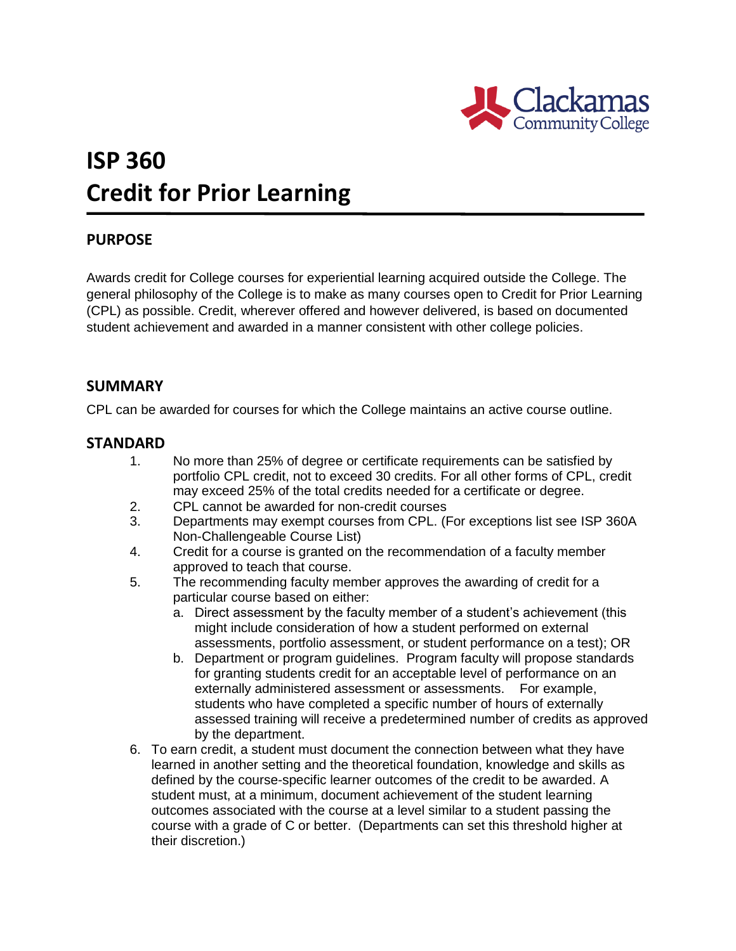

# **ISP 360 Credit for Prior Learning**

## **PURPOSE**

Awards credit for College courses for experiential learning acquired outside the College. The general philosophy of the College is to make as many courses open to Credit for Prior Learning (CPL) as possible. Credit, wherever offered and however delivered, is based on documented student achievement and awarded in a manner consistent with other college policies.

## **SUMMARY**

CPL can be awarded for courses for which the College maintains an active course outline.

### **STANDARD**

- 1. No more than 25% of degree or certificate requirements can be satisfied by portfolio CPL credit, not to exceed 30 credits. For all other forms of CPL, credit may exceed 25% of the total credits needed for a certificate or degree.
- 2. CPL cannot be awarded for non-credit courses
- 3. Departments may exempt courses from CPL. (For exceptions list see ISP 360A Non-Challengeable Course List)
- 4. Credit for a course is granted on the recommendation of a faculty member approved to teach that course.
- 5. The recommending faculty member approves the awarding of credit for a particular course based on either:
	- a. Direct assessment by the faculty member of a student's achievement (this might include consideration of how a student performed on external assessments, portfolio assessment, or student performance on a test); OR
	- b. Department or program guidelines. Program faculty will propose standards for granting students credit for an acceptable level of performance on an externally administered assessment or assessments. For example, students who have completed a specific number of hours of externally assessed training will receive a predetermined number of credits as approved by the department.
- 6. To earn credit, a student must document the connection between what they have learned in another setting and the theoretical foundation, knowledge and skills as defined by the course-specific learner outcomes of the credit to be awarded. A student must, at a minimum, document achievement of the student learning outcomes associated with the course at a level similar to a student passing the course with a grade of C or better. (Departments can set this threshold higher at their discretion.)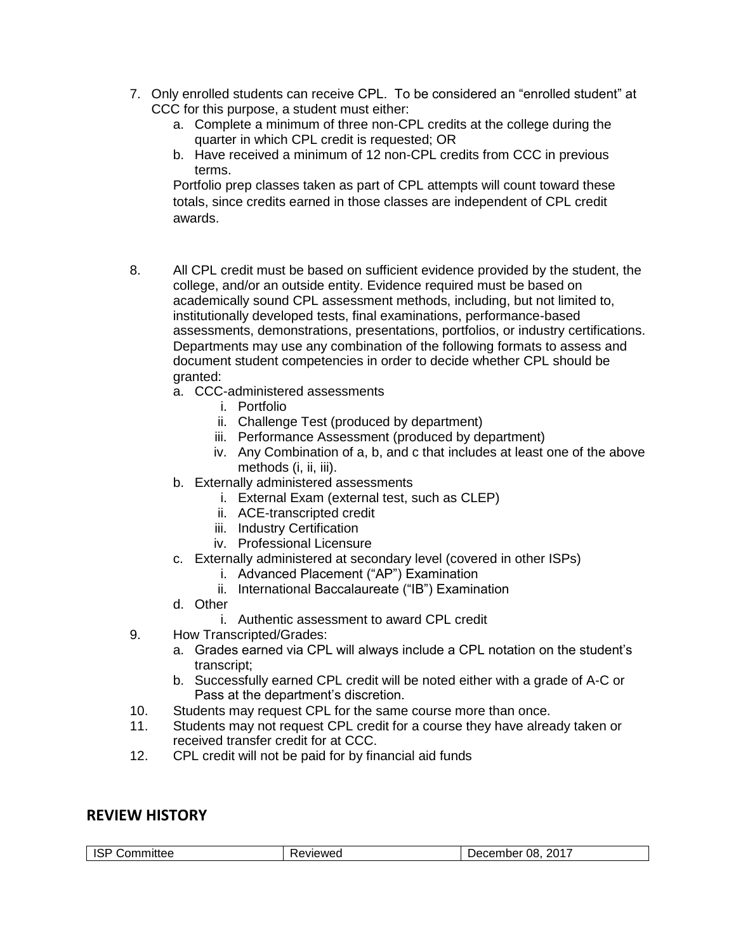- 7. Only enrolled students can receive CPL. To be considered an "enrolled student" at CCC for this purpose, a student must either:
	- a. Complete a minimum of three non-CPL credits at the college during the quarter in which CPL credit is requested; OR
	- b. Have received a minimum of 12 non-CPL credits from CCC in previous terms.

Portfolio prep classes taken as part of CPL attempts will count toward these totals, since credits earned in those classes are independent of CPL credit awards.

- 8. All CPL credit must be based on sufficient evidence provided by the student, the college, and/or an outside entity. Evidence required must be based on academically sound CPL assessment methods, including, but not limited to, institutionally developed tests, final examinations, performance-based assessments, demonstrations, presentations, portfolios, or industry certifications. Departments may use any combination of the following formats to assess and document student competencies in order to decide whether CPL should be granted:
	- a. CCC-administered assessments
		- i. Portfolio
		- ii. Challenge Test (produced by department)
		- iii. Performance Assessment (produced by department)
		- iv. Any Combination of a, b, and c that includes at least one of the above methods (*i*, *ii*, *iii*).
	- b. Externally administered assessments
		- i. External Exam (external test, such as CLEP)
		- ii. ACE-transcripted credit
		- iii. Industry Certification
		- iv. Professional Licensure
	- c. Externally administered at secondary level (covered in other ISPs)
		- i. Advanced Placement ("AP") Examination
		- ii. International Baccalaureate ("IB") Examination
	- d. Other
		- i. Authentic assessment to award CPL credit
- 9. How Transcripted/Grades:
	- a. Grades earned via CPL will always include a CPL notation on the student's transcript;
	- b. Successfully earned CPL credit will be noted either with a grade of A-C or Pass at the department's discretion.
- 10. Students may request CPL for the same course more than once.
- 11. Students may not request CPL credit for a course they have already taken or received transfer credit for at CCC.
- 12. CPL credit will not be paid for by financial aid funds

### **REVIEW HISTORY**

| $\overline{1}$<br>こommittee<br>זטו | ⊀eviewed | 2017<br>08.<br>⊃ecember |
|------------------------------------|----------|-------------------------|
|------------------------------------|----------|-------------------------|